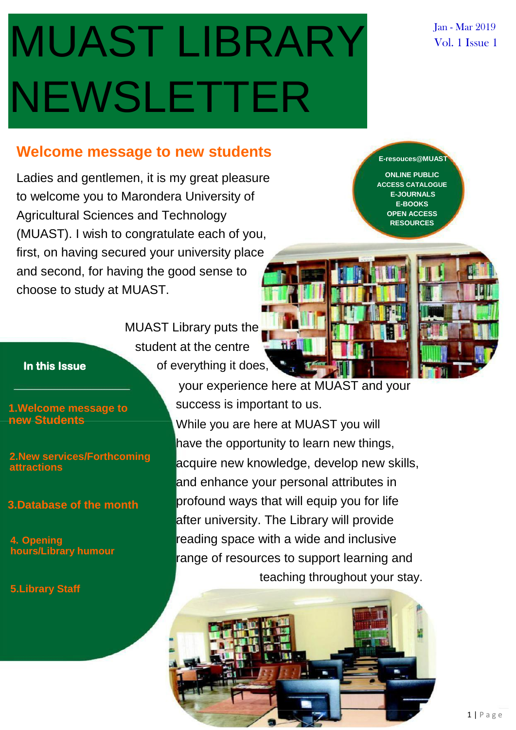# MUAST LIBRARY NEWSLETTER

#### Jan - Mar 2019 Vol. 1 Issue 1

#### **Welcome message to new students**

Ladies and gentlemen, it is my great pleasure to welcome you to Marondera University of Agricultural Sciences and Technology (MUAST). I wish to congratulate each of you, first, on having secured your university place and second, for having the good sense to choose to study at MUAST.

MUAST Library puts the student at the centre **In this Issue Contract Contract Contract Contract Contract Contract Contract Contract Contract Contract Contract Contract Contract Contract Contract Contract Contract Contract Contract Contract Contract Contract Contract** 

**new Students**

**2.New services/Forthcoming attractions**

**3.Database of the month**

**4. Opening hours/Library humour**

**5.Library Staff**

**ONLINE PUBLIC ACCESS CATALOGUE**

**E-resouces@MUAST**

**E-JOURNALS E-BOOKS OPEN ACCESS RESOURCES**



your experience here at MUAST and your **1.Welcome message to** success is important to us. While you are here at MUAST you will have the opportunity to learn new things, acquire new knowledge, develop new skills, and enhance your personal attributes in profound ways that will equip you for life after university. The Library will provide reading space with a wide and inclusive range of resources to support learning and teaching throughout your stay.

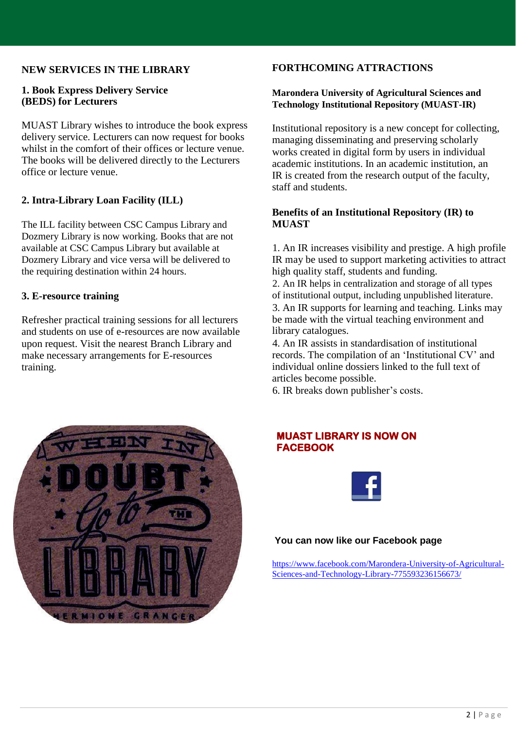#### **NEW SERVICES IN THE LIBRARY**

#### **1. Book Express Delivery Service (BEDS) for Lecturers**

MUAST Library wishes to introduce the book express delivery service. Lecturers can now request for books whilst in the comfort of their offices or lecture venue. The books will be delivered directly to the Lecturers office or lecture venue.

#### **2. Intra-Library Loan Facility (ILL)**

The ILL facility between CSC Campus Library and Dozmery Library is now working. Books that are not available at CSC Campus Library but available at Dozmery Library and vice versa will be delivered to the requiring destination within 24 hours.

#### **3. E-resource training**

Refresher practical training sessions for all lecturers and students on use of e-resources are now available upon request. Visit the nearest Branch Library and make necessary arrangements for E-resources training.

#### **FORTHCOMING ATTRACTIONS**

#### **Marondera University of Agricultural Sciences and Technology Institutional Repository (MUAST-IR)**

Institutional repository is a new concept for collecting, managing disseminating and preserving scholarly works created in digital form by users in individual academic institutions. In an academic institution, an IR is created from the research output of the faculty, staff and students.

#### **Benefits of an Institutional Repository (IR) to MUAST**

1. An IR increases visibility and prestige. A high profile IR may be used to support marketing activities to attract high quality staff, students and funding.

2. An IR helps in centralization and storage of all types of institutional output, including unpublished literature. 3. An IR supports for learning and teaching. Links may be made with the virtual teaching environment and library catalogues.

4. An IR assists in standardisation of institutional records. The compilation of an 'Institutional CV' and individual online dossiers linked to the full text of articles become possible.

6. IR breaks down publisher's costs.



#### **MUAST LIBRARY IS NOW ON FACEBOOK**



#### **You can now like our Facebook page**

[https://www.facebook.com/Marondera-University-of-Agricultural-](https://www.facebook.com/Marondera-University-of-Agricultural-Sciences-and-Technology-Library-775593236156673/)[Sciences-and-Technology-Library-775593236156673/](https://www.facebook.com/Marondera-University-of-Agricultural-Sciences-and-Technology-Library-775593236156673/)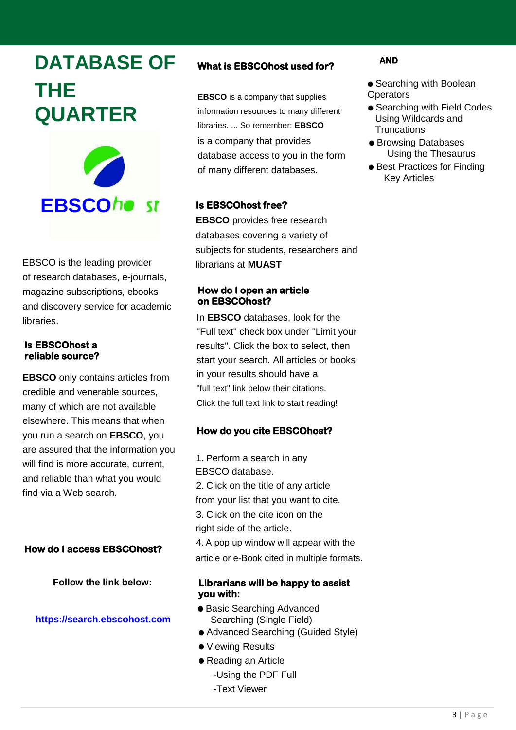## **DATABASE OF THE QUARTER**



EBSCO is the leading provider of research databases, e-journals, magazine subscriptions, ebooks and discovery service for academic libraries.

#### **Is EBSCOhost a reliable source?**

**EBSCO** only contains articles from credible and venerable sources, many of which are not available elsewhere. This means that when you run a search on **EBSCO**, you are assured that the information you will find is more accurate, current, and reliable than what you would find via a Web search.

#### **How do I access EBSCOhost?**

**Follow the link below:**

#### **https://search.ebscohost.com**

#### **What is EBSCOhost used for?**

**EBSCO** is a company that supplies information resources to many different libraries. ... So remember: **EBSCO** is a company that provides database access to you in the form of many different databases.

#### **Is EBSCOhost free?**

**EBSCO** provides free research databases covering a variety of subjects for students, researchers and librarians at **MUAST**

#### **How do I open an article on EBSCOhost?**

In **EBSCO** databases, look for the "Full text" check box under "Limit your results". Click the box to select, then start your search. All articles or books in your results should have a "full text" link below their citations. Click the full text link to start reading!

#### **How do you cite EBSCOhost?**

1. Perform a search in any EBSCO database. 2. Click on the title of any article from your list that you want to cite. 3. Click on the cite icon on the right side of the article. 4. A pop up window will appear with the article or e-Book cited in multiple formats.

#### **Librarians will be happy to assist you with:**

- Basic Searching Advanced Searching (Single Field)
- Advanced Searching (Guided Style)
- Viewing Results
- Reading an Article
	- -Using the PDF Full
	- -Text Viewer

#### **AND**

- Searching with Boolean **Operators**
- **Searching with Field Codes** Using Wildcards and **Truncations**
- **Browsing Databases** Using the Thesaurus
- Best Practices for Finding Key Articles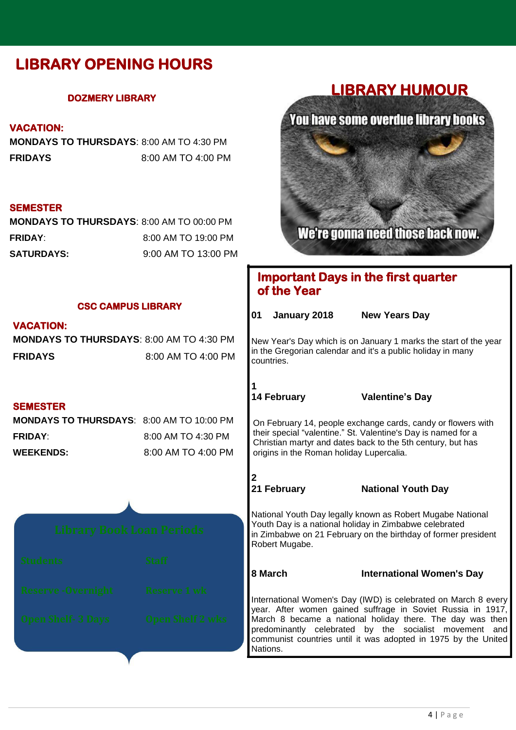### **LIBRARY OPENING HOURS**

#### **DOZMERY LIBRARY**

#### **VACATION:**

**MONDAYS TO THURSDAYS**: 8:00 AM TO 4:30 PM **FRIDAYS** 8:00 AM TO 4:00 PM

#### **SEMESTER**

| <b>MONDAYS TO THURSDAYS: 8:00 AM TO 00:00 PM</b> |                     |
|--------------------------------------------------|---------------------|
| <b>FRIDAY:</b>                                   | 8:00 AM TO 19:00 PM |
| <b>SATURDAYS:</b>                                | 9:00 AM TO 13:00 PM |

#### **LIBRARY HUMOUR**



#### **Important Days in the first quarter of the Year**

| <b>CSC CAMPUS LIBRARY</b>                        |                         | 01                                                                                                                                                                                                                                                                                                                                 | January 2018       | <b>New Years Day</b>             |
|--------------------------------------------------|-------------------------|------------------------------------------------------------------------------------------------------------------------------------------------------------------------------------------------------------------------------------------------------------------------------------------------------------------------------------|--------------------|----------------------------------|
| <b>VACATION:</b>                                 |                         |                                                                                                                                                                                                                                                                                                                                    |                    |                                  |
| <b>MONDAYS TO THURSDAYS: 8:00 AM TO 4:30 PM</b>  |                         | New Year's Day which is on January 1 marks the start of the year<br>in the Gregorian calendar and it's a public holiday in many<br>countries.                                                                                                                                                                                      |                    |                                  |
| <b>FRIDAYS</b>                                   | 8:00 AM TO 4:00 PM      |                                                                                                                                                                                                                                                                                                                                    |                    |                                  |
|                                                  |                         |                                                                                                                                                                                                                                                                                                                                    | <b>14 February</b> | <b>Valentine's Day</b>           |
| <b>SEMESTER</b>                                  |                         |                                                                                                                                                                                                                                                                                                                                    |                    |                                  |
| <b>MONDAYS TO THURSDAYS: 8:00 AM TO 10:00 PM</b> |                         | On February 14, people exchange cards, candy or flowers with<br>their special "valentine." St. Valentine's Day is named for a<br>Christian martyr and dates back to the 5th century, but has<br>origins in the Roman holiday Lupercalia.                                                                                           |                    |                                  |
| <b>FRIDAY:</b>                                   | 8:00 AM TO 4:30 PM      |                                                                                                                                                                                                                                                                                                                                    |                    |                                  |
| <b>WEEKENDS:</b>                                 | 8:00 AM TO 4:00 PM      |                                                                                                                                                                                                                                                                                                                                    |                    |                                  |
|                                                  |                         |                                                                                                                                                                                                                                                                                                                                    | 21 February        | <b>National Youth Day</b>        |
| <b>Library Book Loan Periods</b>                 |                         | National Youth Day legally known as Robert Mugabe National<br>Youth Day is a national holiday in Zimbabwe celebrated<br>in Zimbabwe on 21 February on the birthday of former president<br>Robert Mugabe.                                                                                                                           |                    |                                  |
| <b>Students</b>                                  | <b>Staff</b>            | 8 March                                                                                                                                                                                                                                                                                                                            |                    | <b>International Women's Day</b> |
| <b>Reserve-Overnight</b>                         | <b>Reserve 1 wk</b>     | International Women's Day (IWD) is celebrated on March 8 every<br>year. After women gained suffrage in Soviet Russia in 1917,<br>March 8 became a national holiday there. The day was then<br>predominantly celebrated by the socialist movement and<br>communist countries until it was adopted in 1975 by the United<br>Nations. |                    |                                  |
| <b>Open Shelf- 3 Days</b>                        | <b>Open Shelf 2 wks</b> |                                                                                                                                                                                                                                                                                                                                    |                    |                                  |